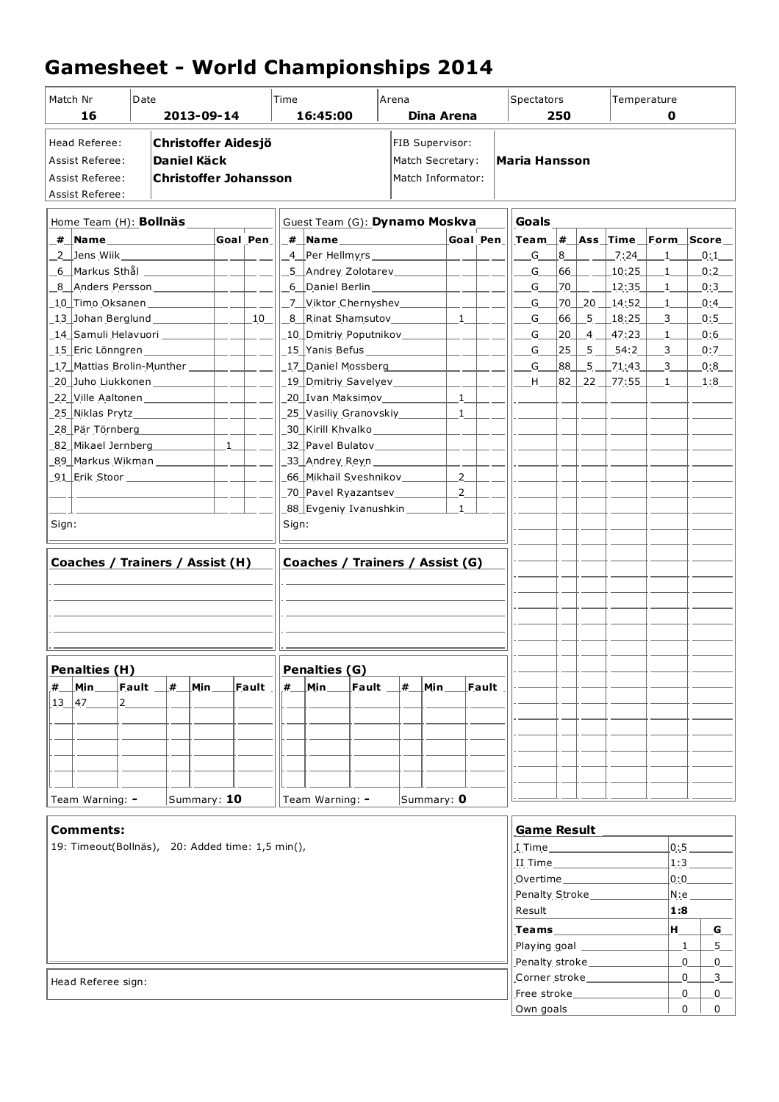## **Gamesheet - World Championships 2014**

| Match Nr<br>16                                                                       | Date                      |    | 2013-09-14                                                                       |                          |               | Time  | 16:45:00                                                                |            | Arena |                         | Dina Arena                                               |          | Spectators                                                                                      | 250        |                |                            | Temperature<br>0           |               |                |
|--------------------------------------------------------------------------------------|---------------------------|----|----------------------------------------------------------------------------------|--------------------------|---------------|-------|-------------------------------------------------------------------------|------------|-------|-------------------------|----------------------------------------------------------|----------|-------------------------------------------------------------------------------------------------|------------|----------------|----------------------------|----------------------------|---------------|----------------|
| Head Referee:<br><b>Assist Referee:</b><br><b>Assist Referee:</b><br>Assist Referee: |                           |    | <b>Christoffer Aidesjö</b><br><b>Daniel Käck</b><br><b>Christoffer Johansson</b> |                          |               |       |                                                                         |            |       |                         | FIB Supervisor:<br>Match Secretary:<br>Match Informator: |          | <b>Maria Hansson</b>                                                                            |            |                |                            |                            |               |                |
| Home Team (H): <b>Bollnäs</b>                                                        |                           |    |                                                                                  |                          |               |       | Guest Team (G): Dynamo Moskva                                           |            |       |                         |                                                          |          | <b>Goals</b>                                                                                    |            |                |                            |                            |               |                |
| _#__ <mark>Name___________________</mark>                                            |                           |    |                                                                                  |                          | Goal Pen      |       | _# _ <mark>Name _______________________</mark>                          |            |       |                         |                                                          | Goal Pen | $\lfloor$ Team $\lfloor \# \rfloor$ Ass $\lfloor$ Time $\lfloor$ Form $\lfloor$ Score $\lfloor$ |            |                |                            |                            |               |                |
|                                                                                      |                           |    |                                                                                  |                          |               |       | _4__Per_Hellmyrs _______________                                        |            |       |                         | $\overline{\phantom{a}}$                                 |          | $G_{-}$                                                                                         | <u> 8_</u> |                | $-7:24$                    | $\overline{\phantom{0}}$ 1 |               | 0:1            |
| _6__Markus Sthål _____________                                                       |                           |    |                                                                                  | $\equiv$ $\equiv$        |               |       | _5__Andrey Zolotarev___________                                         |            |       |                         | $-1$                                                     |          | $G_{\perp}$                                                                                     | 66         |                | $\_10:25\_$                | $\overline{\phantom{0}}$ 1 |               | 0:2            |
| 8 Anders Persson __________                                                          |                           |    |                                                                                  | $-$                      |               |       |                                                                         |            |       |                         | $=$ $-$                                                  |          | $G_{-}$                                                                                         | 70         |                | 12:35                      | $\overline{1}$             |               | 0:3            |
| _10_Timo Oksanen ____________                                                        |                           |    |                                                                                  | $\overline{\phantom{a}}$ |               |       | _7__Viktor Chernyshev_________                                          |            |       |                         | $-1$                                                     |          | $G_{-}$                                                                                         | 70         |                | $20 \; \perp$ 14:52        | $\mathbf{1}$               |               | 0:4            |
|                                                                                      |                           |    |                                                                                  | $\mathbb{R}^n$           | 10            |       | _8__Rinat Shamsutov___________                                          |            |       |                         | $-1$                                                     |          | G                                                                                               | 66         | 5 <sup>5</sup> | 18:25                      | 3                          |               | 0:5            |
| _14_Samuli Helavuori _________                                                       |                           |    |                                                                                  | $\overline{a}$           |               |       | _10_Dmitriy_Poputnikov________                                          |            |       |                         | $\overline{a}$                                           |          | $G_{-}$                                                                                         | 20         | $\overline{4}$ | $-47:23$                   | $\mathbf{1}$               |               | 0:6            |
| _15_Eric Lönngren ____________                                                       |                           |    |                                                                                  |                          |               |       | _15_Yanis Befus ______________                                          |            |       |                         |                                                          |          | G                                                                                               | 25         | $-5$           | $-54:2$                    | $\mathbf{3}$               |               | 0:7            |
| _17_Mattias Brolin-Munther _____                                                     |                           |    |                                                                                  | $\sim$ 100 $\pm$         |               |       | 17 Daniel Mossberg                                                      |            |       |                         |                                                          |          | $G_{-}$                                                                                         | 88         | 5 <sup>5</sup> | 21:43                      | $-3$                       |               | [0:8]          |
| _20__Juho Liukkonen _____________                                                    |                           |    |                                                                                  | $ -$                     |               |       | _19_Dmitriy Savelyev_________                                           |            |       |                         |                                                          |          | H                                                                                               | 82_        |                | $22$ 77:55                 | $\mathbf{1}$               |               | 1:8            |
| 22 Ville Aaltonen ____________                                                       |                           |    |                                                                                  |                          |               |       | _20_Ivan Maksimov____________                                           |            |       |                         | $\mathbf{1}$                                             |          |                                                                                                 |            |                |                            |                            |               |                |
| _25_ Niklas Prytz________________<br>28 Pär Törnberg                                 |                           |    |                                                                                  |                          |               |       | _25_Vasiliy Granovskiy_________                                         |            |       |                         | $\overline{\phantom{0}}$ 1                               |          |                                                                                                 |            |                |                            |                            |               |                |
| 82 Mikael Jernberg                                                                   |                           |    |                                                                                  | $\mathbf{1}$             |               |       | _30_ Kirill Khvalko_______________<br>_32_ Pavel Bulatov_______________ |            |       |                         |                                                          |          |                                                                                                 |            |                |                            |                            |               |                |
| _89_ Markus Wikman ____________                                                      |                           |    |                                                                                  |                          |               |       | _33_ Andrey Reyn ______________                                         |            |       |                         |                                                          |          |                                                                                                 |            |                |                            |                            |               |                |
| _91_ Erik Stoor ________________                                                     |                           |    |                                                                                  | $\sim$                   |               |       | _66_Mikhail Sveshnikov________                                          |            |       |                         | $-2$                                                     |          |                                                                                                 |            |                |                            |                            |               |                |
|                                                                                      |                           |    |                                                                                  |                          |               |       | _70_Pavel Ryazantsev________                                            |            |       |                         | $-2$                                                     |          |                                                                                                 |            |                |                            |                            |               |                |
|                                                                                      |                           |    |                                                                                  |                          |               |       | _88_Evgeniy Ivanushkin _______                                          |            |       |                         | $\overline{1}$                                           |          |                                                                                                 |            |                |                            |                            |               |                |
| Sign:                                                                                |                           |    |                                                                                  |                          |               | Sign: |                                                                         |            |       |                         |                                                          |          |                                                                                                 |            |                |                            |                            |               |                |
|                                                                                      |                           |    |                                                                                  |                          |               |       |                                                                         |            |       |                         |                                                          |          |                                                                                                 |            |                |                            |                            |               |                |
| Coaches / Trainers / Assist (H)                                                      |                           |    |                                                                                  |                          |               |       | Coaches / Trainers / Assist (G)                                         |            |       |                         |                                                          |          |                                                                                                 |            |                |                            |                            |               |                |
|                                                                                      |                           |    |                                                                                  |                          |               |       |                                                                         |            |       |                         |                                                          |          |                                                                                                 |            |                |                            |                            |               |                |
|                                                                                      |                           |    |                                                                                  |                          |               |       |                                                                         |            |       |                         |                                                          |          |                                                                                                 |            |                |                            |                            |               |                |
|                                                                                      |                           |    |                                                                                  |                          |               |       |                                                                         |            |       |                         |                                                          |          |                                                                                                 |            |                |                            |                            |               |                |
|                                                                                      |                           |    |                                                                                  |                          |               |       |                                                                         |            |       |                         |                                                          |          |                                                                                                 |            |                |                            |                            |               |                |
|                                                                                      |                           |    |                                                                                  |                          |               |       |                                                                         |            |       |                         |                                                          |          |                                                                                                 |            |                |                            |                            |               |                |
|                                                                                      |                           |    |                                                                                  |                          |               |       |                                                                         |            |       |                         |                                                          |          |                                                                                                 |            |                |                            |                            |               |                |
| Penalties (H)                                                                        |                           |    |                                                                                  |                          |               |       | Penalties (G)                                                           |            |       |                         |                                                          |          |                                                                                                 |            |                |                            |                            |               |                |
| $\lfloor$ Min $\rfloor$<br>#                                                         | $\lfloor$ Fault $\lfloor$ | ∣# | Min                                                                              |                          | $\sf Fault$ . | #     | $Min_$                                                                  | Fault $\_$ | ∣#    | $\lfloor$ Min $\rfloor$ |                                                          | $F$ ault |                                                                                                 |            |                |                            |                            |               |                |
| $13 - 47$<br>$ 2 \rangle$                                                            |                           |    |                                                                                  |                          |               |       |                                                                         |            |       |                         |                                                          |          |                                                                                                 |            |                |                            |                            |               |                |
|                                                                                      |                           |    |                                                                                  |                          |               |       |                                                                         |            |       |                         |                                                          |          |                                                                                                 |            |                |                            |                            |               |                |
|                                                                                      |                           |    |                                                                                  |                          |               |       |                                                                         |            |       |                         |                                                          |          |                                                                                                 |            |                |                            |                            |               |                |
|                                                                                      |                           |    |                                                                                  |                          |               |       |                                                                         |            |       |                         |                                                          |          |                                                                                                 |            |                |                            |                            |               |                |
|                                                                                      |                           |    |                                                                                  |                          |               |       |                                                                         |            |       |                         |                                                          |          |                                                                                                 |            |                |                            |                            |               |                |
| Team Warning: -                                                                      |                           |    | Summary: 10                                                                      |                          |               |       | Team Warning: -                                                         |            |       | Summary: $0$            |                                                          |          |                                                                                                 |            |                |                            |                            |               |                |
|                                                                                      |                           |    |                                                                                  |                          |               |       |                                                                         |            |       |                         |                                                          |          |                                                                                                 |            |                |                            |                            |               |                |
| <b>Comments:</b>                                                                     |                           |    |                                                                                  |                          |               |       |                                                                         |            |       |                         |                                                          |          | <b>Game Result</b>                                                                              |            |                |                            |                            |               |                |
| 19: Timeout(Bollnäs), 20: Added time: 1,5 min(),                                     |                           |    |                                                                                  |                          |               |       |                                                                         |            |       |                         |                                                          |          |                                                                                                 |            |                |                            |                            | 0:5           |                |
|                                                                                      |                           |    |                                                                                  |                          |               |       |                                                                         |            |       |                         |                                                          |          | II Time                                                                                         |            |                |                            |                            | 1:3           |                |
|                                                                                      |                           |    |                                                                                  |                          |               |       |                                                                         |            |       |                         |                                                          |          |                                                                                                 |            |                |                            |                            | 0:0           |                |
|                                                                                      |                           |    |                                                                                  |                          |               |       |                                                                         |            |       |                         |                                                          |          | Penalty Stroke_________                                                                         |            |                |                            |                            | $N:$ e $\_\_$ |                |
|                                                                                      |                           |    |                                                                                  |                          |               |       |                                                                         |            |       |                         |                                                          |          | Result                                                                                          |            |                |                            | 1:8                        |               |                |
|                                                                                      |                           |    |                                                                                  |                          |               |       |                                                                         |            |       |                         |                                                          |          |                                                                                                 |            |                |                            | H                          |               | $G_{-}$        |
|                                                                                      |                           |    |                                                                                  |                          |               |       |                                                                         |            |       |                         |                                                          |          |                                                                                                 |            |                |                            |                            | 1             | $5 -$          |
|                                                                                      |                           |    |                                                                                  |                          |               |       |                                                                         |            |       |                         |                                                          |          |                                                                                                 |            |                | Penalty stroke____________ |                            | 0             | $\overline{0}$ |
| Head Referee sign:                                                                   |                           |    |                                                                                  |                          |               |       |                                                                         |            |       |                         |                                                          |          |                                                                                                 |            |                | Corner stroke              |                            | $\mathbf{0}$  | 3              |
|                                                                                      |                           |    |                                                                                  |                          |               |       |                                                                         |            |       |                         |                                                          |          |                                                                                                 |            |                | Free stroke                |                            | 0             | 0              |
|                                                                                      |                           |    |                                                                                  |                          |               |       |                                                                         |            |       |                         |                                                          |          | Own goals                                                                                       |            |                |                            |                            | $\Omega$      | $\mathbf{0}$   |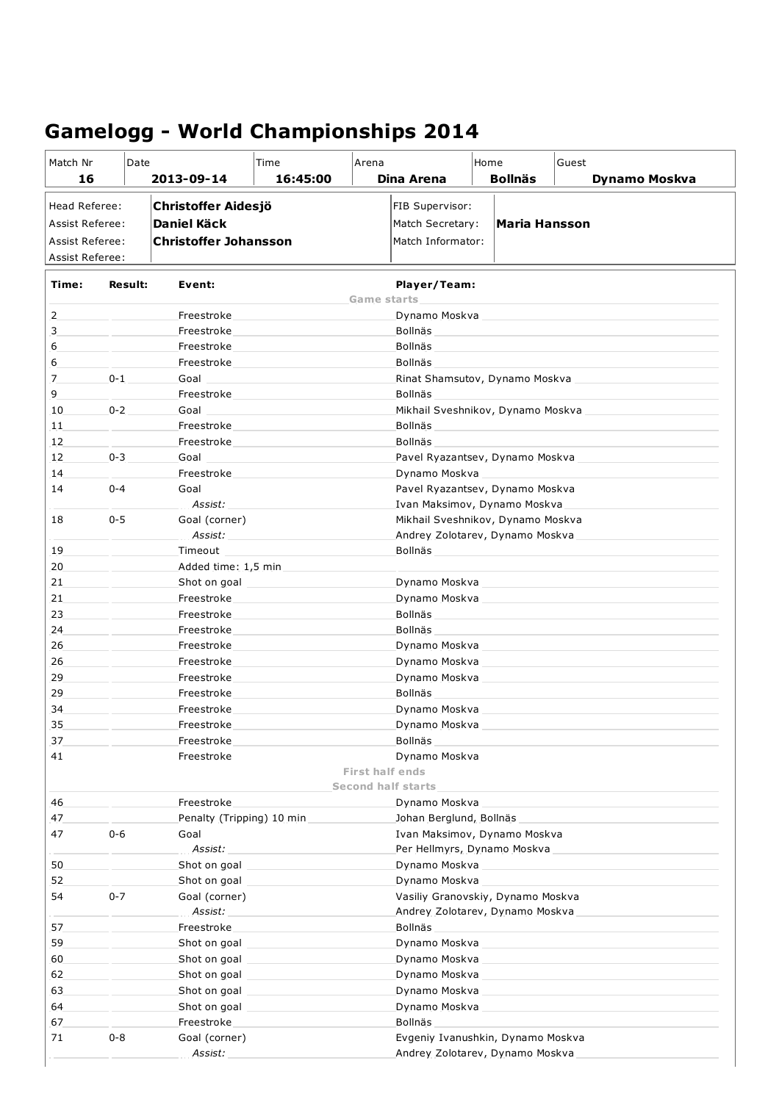| Match Nr<br>16         | Date           | 2013-09-14                   | Time<br>16:45:00 | Arena                  | Dina Arena                        | Home | <b>Bollnäs</b> | Guest<br><b>Dynamo Moskva</b> |  |  |  |
|------------------------|----------------|------------------------------|------------------|------------------------|-----------------------------------|------|----------------|-------------------------------|--|--|--|
|                        |                |                              |                  |                        |                                   |      |                |                               |  |  |  |
| Head Referee:          |                | <b>Christoffer Aidesjö</b>   |                  |                        | FIB Supervisor:                   |      |                |                               |  |  |  |
| <b>Assist Referee:</b> |                | <b>Daniel Käck</b>           |                  |                        | Match Secretary:<br>Maria Hansson |      |                |                               |  |  |  |
| Assist Referee:        |                | <b>Christoffer Johansson</b> |                  |                        | Match Informator:                 |      |                |                               |  |  |  |
| Assist Referee:        |                |                              |                  |                        |                                   |      |                |                               |  |  |  |
| Time:                  | <b>Result:</b> | Event:                       |                  | <b>Game starts</b>     | Player/Team:                      |      |                |                               |  |  |  |
| 2                      |                | Freestroke                   |                  |                        | Dynamo Moskva                     |      |                |                               |  |  |  |
| 3                      |                | Freestroke                   |                  |                        | Bollnäs                           |      |                |                               |  |  |  |
| 6                      |                | Freestroke                   |                  |                        | Bollnäs                           |      |                |                               |  |  |  |
| 6                      |                | Freestroke                   |                  |                        | Bollnäs                           |      |                |                               |  |  |  |
| 7                      | $0 - 1$        | Goal                         |                  |                        | Rinat Shamsutov, Dynamo Moskva    |      |                |                               |  |  |  |
| 9                      |                | Freestroke                   |                  |                        | Bollnäs                           |      |                |                               |  |  |  |
| 10                     | $0 - 2$        | Goal                         |                  |                        | Mikhail Sveshnikov, Dynamo Moskva |      |                |                               |  |  |  |
| 11                     |                | Freestroke                   |                  |                        | Bollnäs                           |      |                |                               |  |  |  |
| 12                     |                | Freestroke                   |                  |                        | Bollnäs                           |      |                |                               |  |  |  |
| 12                     | $0 - 3$        | Goal                         |                  |                        | Pavel Ryazantsev, Dynamo Moskva   |      |                |                               |  |  |  |
| 14                     |                | Freestroke                   |                  |                        | Dynamo Moskva                     |      |                |                               |  |  |  |
| 14                     | $0 - 4$        | Goal                         |                  |                        | Pavel Ryazantsev, Dynamo Moskva   |      |                |                               |  |  |  |
|                        |                | Assist:                      |                  |                        | Ivan Maksimov, Dynamo Moskva      |      |                |                               |  |  |  |
| 18                     | $0 - 5$        | Goal (corner)                |                  |                        | Mikhail Sveshnikov, Dynamo Moskva |      |                |                               |  |  |  |
|                        |                | Assist:                      |                  |                        | Andrey Zolotarev, Dynamo Moskva   |      |                |                               |  |  |  |
| 19                     |                | Timeout                      |                  |                        | Bollnäs                           |      |                |                               |  |  |  |
| 20                     |                | Added time: 1,5 min          |                  |                        |                                   |      |                |                               |  |  |  |
| 21                     |                |                              | Shot on goal     |                        | Dynamo Moskva                     |      |                |                               |  |  |  |
| 21<br>23               |                | Freestroke<br>Freestroke     |                  |                        | Dynamo Moskva<br>Bollnäs          |      |                |                               |  |  |  |
| 24                     |                | Freestroke                   |                  |                        | Bollnäs                           |      |                |                               |  |  |  |
| 26                     |                | Freestroke                   |                  |                        | Dynamo Moskva                     |      |                |                               |  |  |  |
| 26                     |                | Freestroke                   |                  |                        | Dynamo Moskva                     |      |                |                               |  |  |  |
| 29                     |                | Freestroke                   |                  |                        | Dynamo Moskva                     |      |                |                               |  |  |  |
| 29                     |                | Freestroke                   |                  |                        | Bollnäs                           |      |                |                               |  |  |  |
| 34                     |                | Freestroke                   |                  |                        | Dynamo Moskva                     |      |                |                               |  |  |  |
| 35                     |                | Freestroke                   |                  |                        | Dynamo Moskva                     |      |                |                               |  |  |  |
| 37                     |                | Freestroke                   |                  |                        | Bollnäs                           |      |                |                               |  |  |  |
| 41                     |                | Freestroke                   |                  |                        | Dynamo Moskva                     |      |                |                               |  |  |  |
|                        |                |                              |                  | <b>First half ends</b> |                                   |      |                |                               |  |  |  |
|                        |                |                              |                  |                        | <b>Second half starts</b>         |      |                |                               |  |  |  |
| 46                     |                | Freestroke                   |                  |                        | Dynamo Moskva                     |      |                |                               |  |  |  |
| 47                     |                | Penalty (Tripping) 10 min    |                  |                        | Johan Berglund, Bollnäs           |      |                |                               |  |  |  |
| 47                     | $0 - 6$        | Goal                         |                  |                        | Ivan Maksimov, Dynamo Moskva      |      |                |                               |  |  |  |
|                        |                | Assist:                      |                  |                        | Per Hellmyrs, Dynamo Moskva       |      |                |                               |  |  |  |
| 50                     |                |                              | Shot on goal     |                        | Dynamo Moskva                     |      |                |                               |  |  |  |
| 52                     |                | Shot on goal                 |                  |                        | Dynamo Moskva                     |      |                |                               |  |  |  |
| 54                     | $0 - 7$        | Goal (corner)                |                  |                        | Vasiliy Granovskiy, Dynamo Moskva |      |                |                               |  |  |  |
|                        |                | Assist:                      |                  |                        | Andrey Zolotarev, Dynamo Moskva   |      |                |                               |  |  |  |
| 57<br>59               |                | Freestroke<br>Shot on goal   |                  |                        | Bollnäs<br>Dynamo Moskva          |      |                |                               |  |  |  |
| 60                     |                | Shot on goal                 |                  |                        | Dynamo Moskva                     |      |                |                               |  |  |  |
| 62                     |                |                              | Shot on goal     |                        | Dynamo Moskva                     |      |                |                               |  |  |  |
| 63                     |                |                              | Shot on goal     |                        | Dynamo Moskva                     |      |                |                               |  |  |  |
| 64                     |                | Shot on goal                 |                  |                        | Dynamo Moskva                     |      |                |                               |  |  |  |
| 67                     |                | Freestroke                   |                  |                        | Bollnäs                           |      |                |                               |  |  |  |
| 71                     | $0 - 8$        | Goal (corner)                |                  |                        | Evgeniy Ivanushkin, Dynamo Moskva |      |                |                               |  |  |  |
|                        |                | Assist:                      |                  |                        | Andrey Zolotarev, Dynamo Moskva   |      |                |                               |  |  |  |

## **Gamelogg - World Championships 2014**